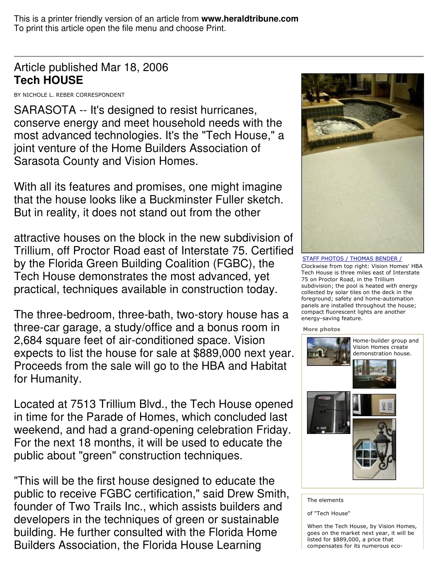This is a printer friendly version of an article from **www.heraldtribune.com** To print this article open the file menu and choose Print.

## Article published Mar 18, 2006 **Tech HOUSE**

BY NICHOLE L. REBER CORRESPONDENT

SARASOTA -- It's designed to resist hurricanes, conserve energy and meet household needs with the most advanced technologies. It's the "Tech House," a joint venture of the Home Builders Association of Sarasota County and Vision Homes.

With all its features and promises, one might imagine that the house looks like a Buckminster Fuller sketch. But in reality, it does not stand out from the other

attractive houses on the block in the new subdivision of Trillium, off Proctor Road east of Interstate 75. Certified by the Florida Green Building Coalition (FGBC), the Tech House demonstrates the most advanced, yet practical, techniques available in construction today.

The three-bedroom, three-bath, two-story house has a three-car garage, a study/office and a bonus room in 2,684 square feet of air-conditioned space. Vision expects to list the house for sale at \$889,000 next year. Proceeds from the sale will go to the HBA and Habitat for Humanity.

Located at 7513 Trillium Blvd., the Tech House opened in time for the Parade of Homes, which concluded last weekend, and had a grand-opening celebration Friday. For the next 18 months, it will be used to educate the public about "green" construction techniques.

"This will be the first house designed to educate the public to receive FGBC certification," said Drew Smith, founder of Two Trails Inc., which assists builders and developers in the techniques of green or sustainable building. He further consulted with the Florida Home Builders Association, the Florida House Learning



<u>STAFF PHOTOS / THOMAS BENDER /</u> Clockwise from top right: Vision Homes' HBA Tech House is three miles east of Interstate 75 on Proctor Road, in the Trillium subdivision; the pool is heated with energy collected by solar tiles on the deck in the  $%$  foreground; safety and home-automation panels are installed throughout the house; compact fluorescent lights are another energy-saving feature.

More photos



The elements

of "Tech House"

When the Tech House, by Vision Homes, goes on the market next year, it will be listed for \$889,000, a price that compensates for its numerous eco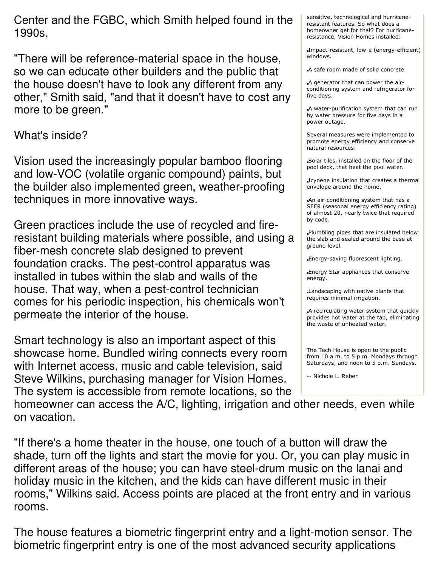Center and the FGBC, which Smith helped found in the 1990s.

"There will be reference-material space in the house, so we can educate other builders and the public that the house doesn't have to look any different from any other," Smith said, "and that it doesn't have to cost any more to be green."

## What's inside?

Vision used the increasingly popular bamboo flooring and low-VOC (volatile organic compound) paints, but the builder also implemented green, weather-proofing techniques in more innovative ways.

Green practices include the use of recycled and fireresistant building materials where possible, and using a fiber-mesh concrete slab designed to prevent foundation cracks. The pest-control apparatus was installed in tubes within the slab and walls of the house. That way, when a pest-control technician comes for his periodic inspection, his chemicals won't permeate the interior of the house.

Smart technology is also an important aspect of this showcase home. Bundled wiring connects every room with Internet access, music and cable television, said Steve Wilkins, purchasing manager for Vision Homes. The system is accessible from remote locations, so the sensitive, technological and hurricaneresistant features. So what does a homeowner get for that? For hurricaneresistance, Vision Homes installed:

Impact-resistant, low-e (energy-efficient) windows.

A safe room made of solid concrete.

A generator that can power the airconditioning system and refrigerator for five days.

A water-purification system that can run by water pressure for five days in a power outage.

Several measures were implemented to promote energy efficiency and conserve natural resources:

Solar tiles, installed on the floor of the pool deck, that heat the pool water.

I Cynene insulation that creates a thermal envelope around the home.

An air-conditioning system that has a SEER (seasonal energy efficiency rating) of almost 20, nearly twice that required by code.

Plumbling pipes that are insulated below the slab and sealed around the base at ground level.

Energy-saving fluorescent lighting.

Energy Star appliances that conserve energy.

Landscaping with native plants that requires minimal irrigation.

A recirculating water system that quickly provides hot water at the tap, eliminating the waste of unheated water.

The Tech House is open to the public from 10 a.m. to 5 p.m. Mondays through Saturdays, and noon to 5 p.m. Sundays.

-- Nichole L. Reber

homeowner can access the A/C, lighting, irrigation and other needs, even while on vacation.

"If there's a home theater in the house, one touch of a button will draw the shade, turn off the lights and start the movie for you. Or, you can play music in different areas of the house; you can have steel-drum music on the lanai and holiday music in the kitchen, and the kids can have different music in their rooms," Wilkins said. Access points are placed at the front entry and in various rooms.

The house features a biometric fingerprint entry and a light-motion sensor. The biometric fingerprint entry is one of the most advanced security applications